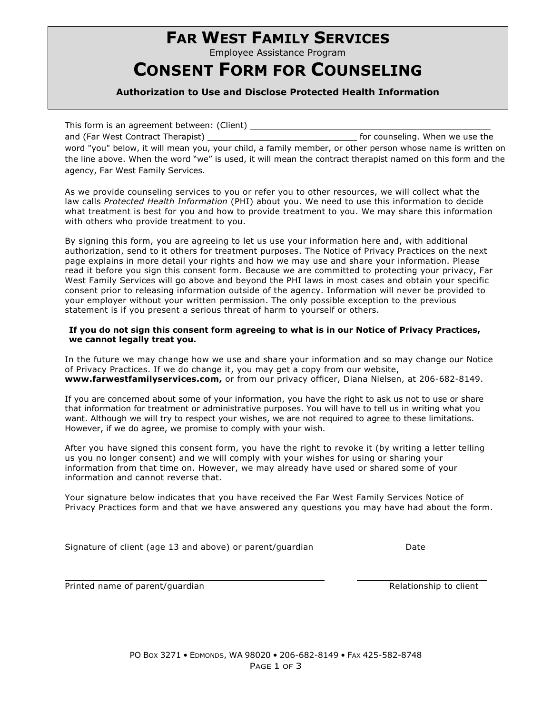# **FAR WEST FAMILY SERVICES**

Employee Assistance Program

### **CONSENT FORM FOR COUNSELING**

### **Authorization to Use and Disclose Protected Health Information**

This form is an agreement between: (Client) \_ and (Far West Contract Therapist) for counseling. When we use the word "you" below, it will mean you, your child, a family member, or other person whose name is written on the line above. When the word "we" is used, it will mean the contract therapist named on this form and the agency, Far West Family Services.

As we provide counseling services to you or refer you to other resources, we will collect what the law calls *Protected Health Information* (PHI) about you. We need to use this information to decide what treatment is best for you and how to provide treatment to you. We may share this information with others who provide treatment to you.

By signing this form, you are agreeing to let us use your information here and, with additional authorization, send to it others for treatment purposes. The Notice of Privacy Practices on the next page explains in more detail your rights and how we may use and share your information. Please read it before you sign this consent form. Because we are committed to protecting your privacy, Far West Family Services will go above and beyond the PHI laws in most cases and obtain your specific consent prior to releasing information outside of the agency. Information will never be provided to your employer without your written permission. The only possible exception to the previous statement is if you present a serious threat of harm to yourself or others.

### **If you do not sign this consent form agreeing to what is in our Notice of Privacy Practices, we cannot legally treat you.**

In the future we may change how we use and share your information and so may change our Notice of Privacy Practices. If we do change it, you may get a copy from our website, **www.farwestfamilyservices.com,** or from our privacy officer, Diana Nielsen, at 206-682-8149.

If you are concerned about some of your information, you have the right to ask us not to use or share that information for treatment or administrative purposes. You will have to tell us in writing what you want. Although we will try to respect your wishes, we are not required to agree to these limitations. However, if we do agree, we promise to comply with your wish.

After you have signed this consent form, you have the right to revoke it (by writing a letter telling us you no longer consent) and we will comply with your wishes for using or sharing your information from that time on. However, we may already have used or shared some of your information and cannot reverse that.

Your signature below indicates that you have received the Far West Family Services Notice of Privacy Practices form and that we have answered any questions you may have had about the form.

|  |  | Signature of client (age 13 and above) or parent/guardian | Date |
|--|--|-----------------------------------------------------------|------|
|--|--|-----------------------------------------------------------|------|

Printed name of parent/guardian and Relationship to client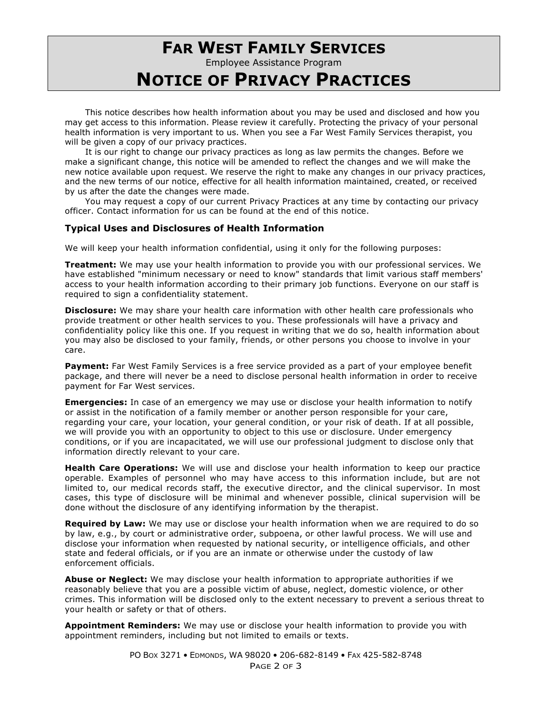# **FAR WEST FAMILY SERVICES**

Employee Assistance Program

## **NOTICE OF PRIVACY PRACTICES**

This notice describes how health information about you may be used and disclosed and how you may get access to this information. Please review it carefully. Protecting the privacy of your personal health information is very important to us. When you see a Far West Family Services therapist, you will be given a copy of our privacy practices.

It is our right to change our privacy practices as long as law permits the changes. Before we make a significant change, this notice will be amended to reflect the changes and we will make the new notice available upon request. We reserve the right to make any changes in our privacy practices, and the new terms of our notice, effective for all health information maintained, created, or received by us after the date the changes were made.

You may request a copy of our current Privacy Practices at any time by contacting our privacy officer. Contact information for us can be found at the end of this notice.

### **Typical Uses and Disclosures of Health Information**

We will keep your health information confidential, using it only for the following purposes:

**Treatment:** We may use your health information to provide you with our professional services. We have established "minimum necessary or need to know" standards that limit various staff members' access to your health information according to their primary job functions. Everyone on our staff is required to sign a confidentiality statement.

**Disclosure:** We may share your health care information with other health care professionals who provide treatment or other health services to you. These professionals will have a privacy and confidentiality policy like this one. If you request in writing that we do so, health information about you may also be disclosed to your family, friends, or other persons you choose to involve in your care.

Payment: Far West Family Services is a free service provided as a part of your employee benefit package, and there will never be a need to disclose personal health information in order to receive payment for Far West services.

**Emergencies:** In case of an emergency we may use or disclose your health information to notify or assist in the notification of a family member or another person responsible for your care, regarding your care, your location, your general condition, or your risk of death. If at all possible, we will provide you with an opportunity to object to this use or disclosure. Under emergency conditions, or if you are incapacitated, we will use our professional judgment to disclose only that information directly relevant to your care.

**Health Care Operations:** We will use and disclose your health information to keep our practice operable. Examples of personnel who may have access to this information include, but are not limited to, our medical records staff, the executive director, and the clinical supervisor. In most cases, this type of disclosure will be minimal and whenever possible, clinical supervision will be done without the disclosure of any identifying information by the therapist.

**Required by Law:** We may use or disclose your health information when we are required to do so by law, e.g., by court or administrative order, subpoena, or other lawful process. We will use and disclose your information when requested by national security, or intelligence officials, and other state and federal officials, or if you are an inmate or otherwise under the custody of law enforcement officials.

**Abuse or Neglect:** We may disclose your health information to appropriate authorities if we reasonably believe that you are a possible victim of abuse, neglect, domestic violence, or other crimes. This information will be disclosed only to the extent necessary to prevent a serious threat to your health or safety or that of others.

**Appointment Reminders:** We may use or disclose your health information to provide you with appointment reminders, including but not limited to emails or texts.

> PO BOX 3271 • EDMONDS, WA 98020 • 206-682-8149 • FAX 425-582-8748 PAGE 2 OF 3